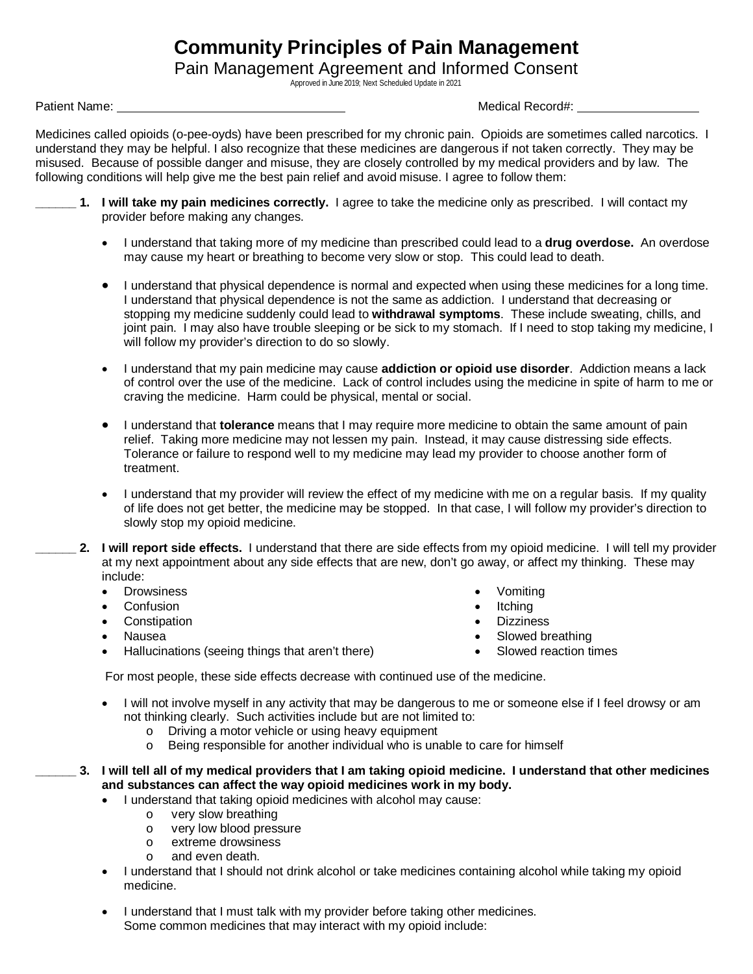## **Community Principles of Pain Management**

Pain Management Agreement and Informed Consent

Approved in June 2019; Next Scheduled Update in 2021

Patient Name: Name: Name: Name and Allen and Allen and Allen and Allen and Medical Record#: Name and Allen and Medical Record: Name and Allen and Allen and Allen and Allen and Allen and Allen and Allen and Allen and Allen

 Medicines called opioids (o-pee-oyds) have been prescribed for my chronic pain. Opioids are sometimes called narcotics. I understand they may be helpful. I also recognize that these medicines are dangerous if not taken correctly. They may be misused. Because of possible danger and misuse, they are closely controlled by my medical providers and by law. The following conditions will help give me the best pain relief and avoid misuse. I agree to follow them:

- **\_\_\_\_\_\_ 1. I will take my pain medicines correctly.** I agree to take the medicine only as prescribed. I will contact my provider before making any changes.
	- I understand that taking more of my medicine than prescribed could lead to a **drug overdose.** An overdose may cause my heart or breathing to become very slow or stop. This could lead to death.
	- I understand that physical dependence is normal and expected when using these medicines for a long time. I understand that physical dependence is not the same as addiction. I understand that decreasing or stopping my medicine suddenly could lead to **withdrawal symptoms**. These include sweating, chills, and joint pain. I may also have trouble sleeping or be sick to my stomach. If I need to stop taking my medicine, I will follow my provider's direction to do so slowly.
	- I understand that my pain medicine may cause **addiction or opioid use disorder**. Addiction means a lack of control over the use of the medicine. Lack of control includes using the medicine in spite of harm to me or craving the medicine. Harm could be physical, mental or social.
	- I understand that **tolerance** means that I may require more medicine to obtain the same amount of pain relief. Taking more medicine may not lessen my pain. Instead, it may cause distressing side effects. Tolerance or failure to respond well to my medicine may lead my provider to choose another form of treatment.
	- I understand that my provider will review the effect of my medicine with me on a regular basis. If my quality of life does not get better, the medicine may be stopped. In that case, I will follow my provider's direction to slowly stop my opioid medicine.
- **\_\_\_\_\_\_ 2. I will report side effects.** I understand that there are side effects from my opioid medicine. I will tell my provider at my next appointment about any side effects that are new, don't go away, or affect my thinking. These may include:
	- Drowsiness
	- **Confusion**
	- **Constipation**
	- Nausea
	- Hallucinations (seeing things that aren't there)
- Vomiting
- Itching
- **Dizziness**
- Slowed breathing
- Slowed reaction times

For most people, these side effects decrease with continued use of the medicine.

- I will not involve myself in any activity that may be dangerous to me or someone else if I feel drowsy or am not thinking clearly. Such activities include but are not limited to:
	- o Driving a motor vehicle or using heavy equipment
	- o Being responsible for another individual who is unable to care for himself

**\_\_\_\_\_\_ 3. I will tell all of my medical providers that I am taking opioid medicine. I understand that other medicines and substances can affect the way opioid medicines work in my body.**

- I understand that taking opioid medicines with alcohol may cause:
	- o very slow breathing
	- o very low blood pressure
	- o extreme drowsiness<br>o and even death
	- and even death.
- I understand that I should not drink alcohol or take medicines containing alcohol while taking my opioid medicine.
- I understand that I must talk with my provider before taking other medicines. Some common medicines that may interact with my opioid include: